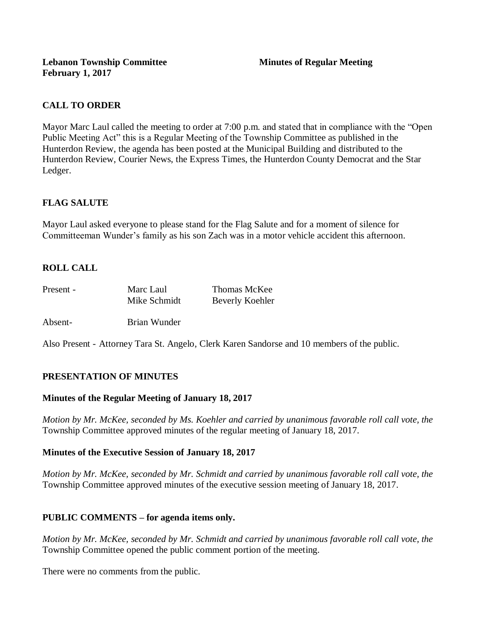# **CALL TO ORDER**

Mayor Marc Laul called the meeting to order at 7:00 p.m. and stated that in compliance with the "Open Public Meeting Act" this is a Regular Meeting of the Township Committee as published in the Hunterdon Review, the agenda has been posted at the Municipal Building and distributed to the Hunterdon Review, Courier News, the Express Times, the Hunterdon County Democrat and the Star Ledger.

# **FLAG SALUTE**

Mayor Laul asked everyone to please stand for the Flag Salute and for a moment of silence for Committeeman Wunder's family as his son Zach was in a motor vehicle accident this afternoon.

# **ROLL CALL**

| Present - | Marc Laul    | Thomas McKee    |
|-----------|--------------|-----------------|
|           | Mike Schmidt | Beverly Koehler |

Absent- Brian Wunder

Also Present - Attorney Tara St. Angelo, Clerk Karen Sandorse and 10 members of the public.

## **PRESENTATION OF MINUTES**

#### **Minutes of the Regular Meeting of January 18, 2017**

*Motion by Mr. McKee, seconded by Ms. Koehler and carried by unanimous favorable roll call vote, the* Township Committee approved minutes of the regular meeting of January 18, 2017.

#### **Minutes of the Executive Session of January 18, 2017**

*Motion by Mr. McKee, seconded by Mr. Schmidt and carried by unanimous favorable roll call vote, the*  Township Committee approved minutes of the executive session meeting of January 18, 2017.

## **PUBLIC COMMENTS – for agenda items only.**

*Motion by Mr. McKee, seconded by Mr. Schmidt and carried by unanimous favorable roll call vote, the* Township Committee opened the public comment portion of the meeting.

There were no comments from the public.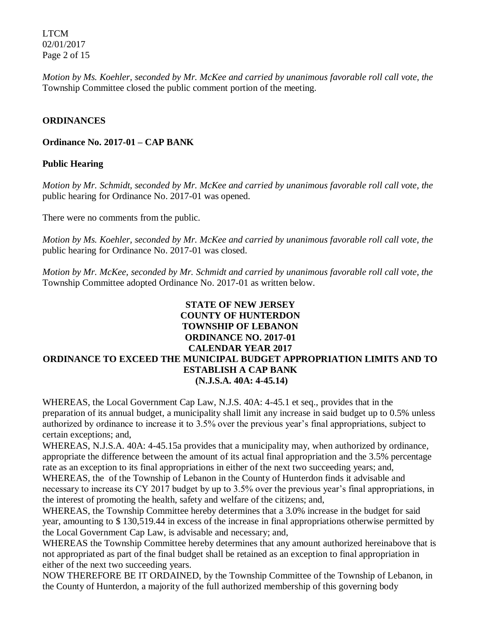LTCM 02/01/2017 Page 2 of 15

*Motion by Ms. Koehler, seconded by Mr. McKee and carried by unanimous favorable roll call vote, the* Township Committee closed the public comment portion of the meeting.

### **ORDINANCES**

**Ordinance No. 2017-01 – CAP BANK** 

### **Public Hearing**

*Motion by Mr. Schmidt, seconded by Mr. McKee and carried by unanimous favorable roll call vote, the* public hearing for Ordinance No. 2017-01 was opened.

There were no comments from the public*.*

*Motion by Ms. Koehler, seconded by Mr. McKee and carried by unanimous favorable roll call vote, the* public hearing for Ordinance No. 2017-01 was closed.

*Motion by Mr. McKee, seconded by Mr. Schmidt and carried by unanimous favorable roll call vote, the* Township Committee adopted Ordinance No. 2017-01 as written below.

# **STATE OF NEW JERSEY COUNTY OF HUNTERDON TOWNSHIP OF LEBANON ORDINANCE NO. 2017-01 CALENDAR YEAR 2017 ORDINANCE TO EXCEED THE MUNICIPAL BUDGET APPROPRIATION LIMITS AND TO ESTABLISH A CAP BANK (N.J.S.A. 40A: 4-45.14)**

WHEREAS, the Local Government Cap Law, N.J.S. 40A: 4-45.1 et seq., provides that in the preparation of its annual budget, a municipality shall limit any increase in said budget up to 0.5% unless authorized by ordinance to increase it to 3.5% over the previous year's final appropriations, subject to certain exceptions; and,

WHEREAS, N.J.S.A. 40A: 4-45.15a provides that a municipality may, when authorized by ordinance, appropriate the difference between the amount of its actual final appropriation and the 3.5% percentage rate as an exception to its final appropriations in either of the next two succeeding years; and,

WHEREAS, the of the Township of Lebanon in the County of Hunterdon finds it advisable and necessary to increase its CY 2017 budget by up to 3.5% over the previous year's final appropriations, in the interest of promoting the health, safety and welfare of the citizens; and,

WHEREAS, the Township Committee hereby determines that a 3.0% increase in the budget for said year, amounting to \$ 130,519.44 in excess of the increase in final appropriations otherwise permitted by the Local Government Cap Law, is advisable and necessary; and,

WHEREAS the Township Committee hereby determines that any amount authorized hereinabove that is not appropriated as part of the final budget shall be retained as an exception to final appropriation in either of the next two succeeding years.

NOW THEREFORE BE IT ORDAINED, by the Township Committee of the Township of Lebanon, in the County of Hunterdon, a majority of the full authorized membership of this governing body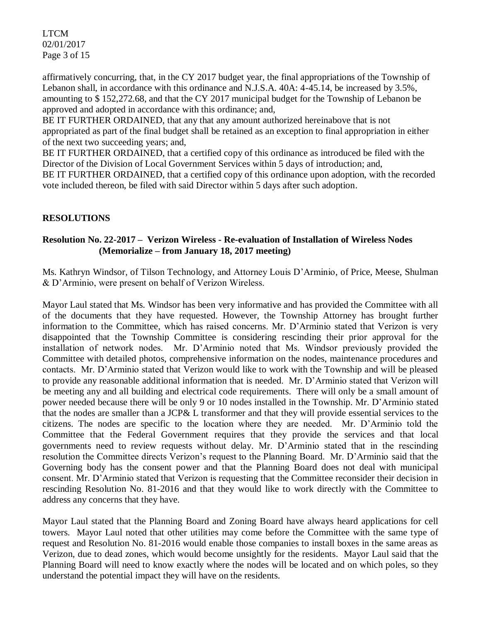LTCM 02/01/2017 Page 3 of 15

affirmatively concurring, that, in the CY 2017 budget year, the final appropriations of the Township of Lebanon shall, in accordance with this ordinance and N.J.S.A. 40A: 4-45.14, be increased by 3.5%, amounting to \$ 152,272.68, and that the CY 2017 municipal budget for the Township of Lebanon be approved and adopted in accordance with this ordinance; and,

BE IT FURTHER ORDAINED, that any that any amount authorized hereinabove that is not appropriated as part of the final budget shall be retained as an exception to final appropriation in either of the next two succeeding years; and,

BE IT FURTHER ORDAINED, that a certified copy of this ordinance as introduced be filed with the Director of the Division of Local Government Services within 5 days of introduction; and, BE IT FURTHER ORDAINED, that a certified copy of this ordinance upon adoption, with the recorded

vote included thereon, be filed with said Director within 5 days after such adoption.

# **RESOLUTIONS**

# **Resolution No. 22-2017 – Verizon Wireless - Re-evaluation of Installation of Wireless Nodes (Memorialize – from January 18, 2017 meeting)**

Ms. Kathryn Windsor, of Tilson Technology, and Attorney Louis D'Arminio, of Price, Meese, Shulman & D'Arminio, were present on behalf of Verizon Wireless.

Mayor Laul stated that Ms. Windsor has been very informative and has provided the Committee with all of the documents that they have requested. However, the Township Attorney has brought further information to the Committee, which has raised concerns. Mr. D'Arminio stated that Verizon is very disappointed that the Township Committee is considering rescinding their prior approval for the installation of network nodes. Mr. D'Arminio noted that Ms. Windsor previously provided the Committee with detailed photos, comprehensive information on the nodes, maintenance procedures and contacts. Mr. D'Arminio stated that Verizon would like to work with the Township and will be pleased to provide any reasonable additional information that is needed. Mr. D'Arminio stated that Verizon will be meeting any and all building and electrical code requirements. There will only be a small amount of power needed because there will be only 9 or 10 nodes installed in the Township. Mr. D'Arminio stated that the nodes are smaller than a JCP& L transformer and that they will provide essential services to the citizens. The nodes are specific to the location where they are needed. Mr. D'Arminio told the Committee that the Federal Government requires that they provide the services and that local governments need to review requests without delay. Mr. D'Arminio stated that in the rescinding resolution the Committee directs Verizon's request to the Planning Board. Mr. D'Arminio said that the Governing body has the consent power and that the Planning Board does not deal with municipal consent. Mr. D'Arminio stated that Verizon is requesting that the Committee reconsider their decision in rescinding Resolution No. 81-2016 and that they would like to work directly with the Committee to address any concerns that they have.

Mayor Laul stated that the Planning Board and Zoning Board have always heard applications for cell towers. Mayor Laul noted that other utilities may come before the Committee with the same type of request and Resolution No. 81-2016 would enable those companies to install boxes in the same areas as Verizon, due to dead zones, which would become unsightly for the residents. Mayor Laul said that the Planning Board will need to know exactly where the nodes will be located and on which poles, so they understand the potential impact they will have on the residents.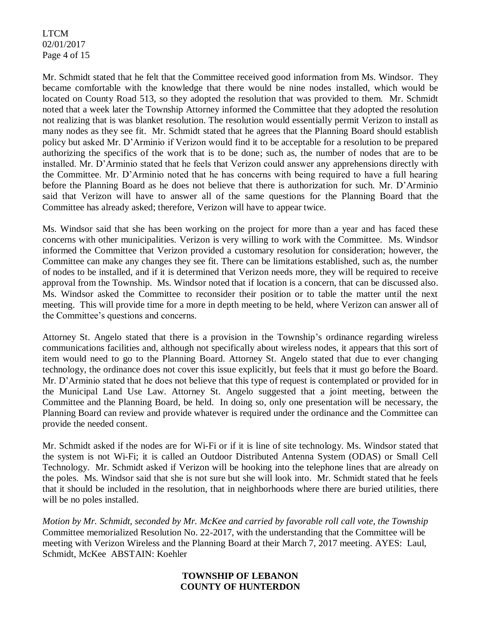LTCM 02/01/2017 Page 4 of 15

Mr. Schmidt stated that he felt that the Committee received good information from Ms. Windsor. They became comfortable with the knowledge that there would be nine nodes installed, which would be located on County Road 513, so they adopted the resolution that was provided to them. Mr. Schmidt noted that a week later the Township Attorney informed the Committee that they adopted the resolution not realizing that is was blanket resolution. The resolution would essentially permit Verizon to install as many nodes as they see fit. Mr. Schmidt stated that he agrees that the Planning Board should establish policy but asked Mr. D'Arminio if Verizon would find it to be acceptable for a resolution to be prepared authorizing the specifics of the work that is to be done; such as, the number of nodes that are to be installed. Mr. D'Arminio stated that he feels that Verizon could answer any apprehensions directly with the Committee. Mr. D'Arminio noted that he has concerns with being required to have a full hearing before the Planning Board as he does not believe that there is authorization for such. Mr. D'Arminio said that Verizon will have to answer all of the same questions for the Planning Board that the Committee has already asked; therefore, Verizon will have to appear twice.

Ms. Windsor said that she has been working on the project for more than a year and has faced these concerns with other municipalities. Verizon is very willing to work with the Committee. Ms. Windsor informed the Committee that Verizon provided a customary resolution for consideration; however, the Committee can make any changes they see fit. There can be limitations established, such as, the number of nodes to be installed, and if it is determined that Verizon needs more, they will be required to receive approval from the Township. Ms. Windsor noted that if location is a concern, that can be discussed also. Ms. Windsor asked the Committee to reconsider their position or to table the matter until the next meeting. This will provide time for a more in depth meeting to be held, where Verizon can answer all of the Committee's questions and concerns.

Attorney St. Angelo stated that there is a provision in the Township's ordinance regarding wireless communications facilities and, although not specifically about wireless nodes, it appears that this sort of item would need to go to the Planning Board. Attorney St. Angelo stated that due to ever changing technology, the ordinance does not cover this issue explicitly, but feels that it must go before the Board. Mr. D'Arminio stated that he does not believe that this type of request is contemplated or provided for in the Municipal Land Use Law. Attorney St. Angelo suggested that a joint meeting, between the Committee and the Planning Board, be held. In doing so, only one presentation will be necessary, the Planning Board can review and provide whatever is required under the ordinance and the Committee can provide the needed consent.

Mr. Schmidt asked if the nodes are for Wi-Fi or if it is line of site technology. Ms. Windsor stated that the system is not Wi-Fi; it is called an Outdoor Distributed Antenna System (ODAS) or Small Cell Technology. Mr. Schmidt asked if Verizon will be hooking into the telephone lines that are already on the poles. Ms. Windsor said that she is not sure but she will look into. Mr. Schmidt stated that he feels that it should be included in the resolution, that in neighborhoods where there are buried utilities, there will be no poles installed.

*Motion by Mr. Schmidt, seconded by Mr. McKee and carried by favorable roll call vote, the Township* Committee memorialized Resolution No. 22-2017, with the understanding that the Committee will be meeting with Verizon Wireless and the Planning Board at their March 7, 2017 meeting. AYES: Laul, Schmidt, McKee ABSTAIN: Koehler

#### **TOWNSHIP OF LEBANON COUNTY OF HUNTERDON**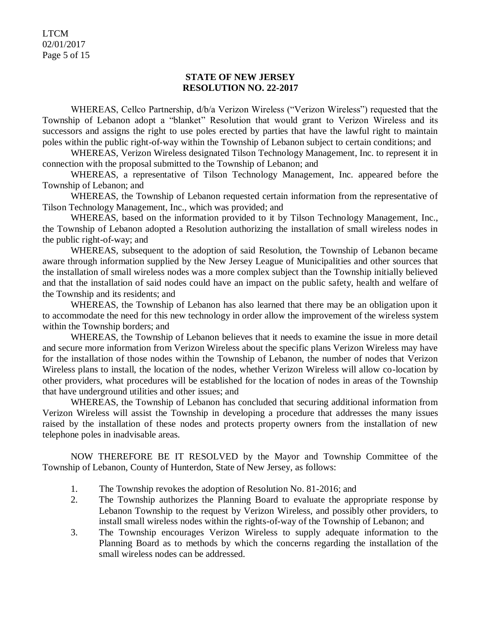LTCM 02/01/2017 Page 5 of 15

### **STATE OF NEW JERSEY RESOLUTION NO. 22-2017**

WHEREAS, Cellco Partnership, d/b/a Verizon Wireless ("Verizon Wireless") requested that the Township of Lebanon adopt a "blanket" Resolution that would grant to Verizon Wireless and its successors and assigns the right to use poles erected by parties that have the lawful right to maintain poles within the public right-of-way within the Township of Lebanon subject to certain conditions; and

WHEREAS, Verizon Wireless designated Tilson Technology Management, Inc. to represent it in connection with the proposal submitted to the Township of Lebanon; and

WHEREAS, a representative of Tilson Technology Management, Inc. appeared before the Township of Lebanon; and

WHEREAS, the Township of Lebanon requested certain information from the representative of Tilson Technology Management, Inc., which was provided; and

WHEREAS, based on the information provided to it by Tilson Technology Management, Inc., the Township of Lebanon adopted a Resolution authorizing the installation of small wireless nodes in the public right-of-way; and

WHEREAS, subsequent to the adoption of said Resolution, the Township of Lebanon became aware through information supplied by the New Jersey League of Municipalities and other sources that the installation of small wireless nodes was a more complex subject than the Township initially believed and that the installation of said nodes could have an impact on the public safety, health and welfare of the Township and its residents; and

WHEREAS, the Township of Lebanon has also learned that there may be an obligation upon it to accommodate the need for this new technology in order allow the improvement of the wireless system within the Township borders; and

WHEREAS, the Township of Lebanon believes that it needs to examine the issue in more detail and secure more information from Verizon Wireless about the specific plans Verizon Wireless may have for the installation of those nodes within the Township of Lebanon, the number of nodes that Verizon Wireless plans to install, the location of the nodes, whether Verizon Wireless will allow co-location by other providers, what procedures will be established for the location of nodes in areas of the Township that have underground utilities and other issues; and

WHEREAS, the Township of Lebanon has concluded that securing additional information from Verizon Wireless will assist the Township in developing a procedure that addresses the many issues raised by the installation of these nodes and protects property owners from the installation of new telephone poles in inadvisable areas.

NOW THEREFORE BE IT RESOLVED by the Mayor and Township Committee of the Township of Lebanon, County of Hunterdon, State of New Jersey, as follows:

- 1. The Township revokes the adoption of Resolution No. 81-2016; and
- 2. The Township authorizes the Planning Board to evaluate the appropriate response by Lebanon Township to the request by Verizon Wireless, and possibly other providers, to install small wireless nodes within the rights-of-way of the Township of Lebanon; and
- 3. The Township encourages Verizon Wireless to supply adequate information to the Planning Board as to methods by which the concerns regarding the installation of the small wireless nodes can be addressed.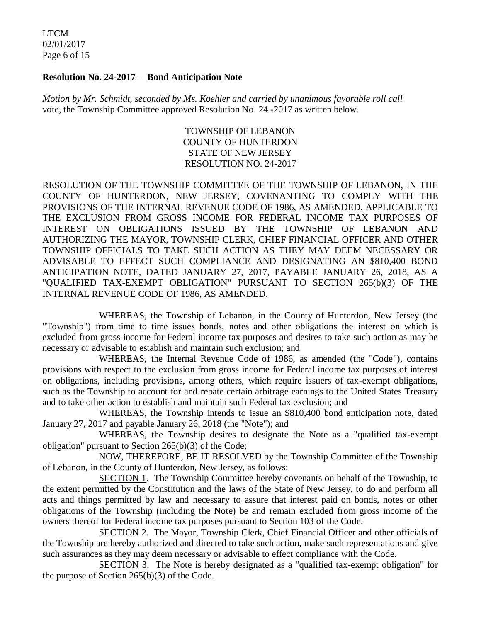LTCM 02/01/2017 Page 6 of 15

#### **Resolution No. 24-2017 – Bond Anticipation Note**

*Motion by Mr. Schmidt, seconded by Ms. Koehler and carried by unanimous favorable roll call*  vote, the Township Committee approved Resolution No. 24 -2017 as written below.

## TOWNSHIP OF LEBANON COUNTY OF HUNTERDON STATE OF NEW JERSEY RESOLUTION NO. 24-2017

RESOLUTION OF THE TOWNSHIP COMMITTEE OF THE TOWNSHIP OF LEBANON, IN THE COUNTY OF HUNTERDON, NEW JERSEY, COVENANTING TO COMPLY WITH THE PROVISIONS OF THE INTERNAL REVENUE CODE OF 1986, AS AMENDED, APPLICABLE TO THE EXCLUSION FROM GROSS INCOME FOR FEDERAL INCOME TAX PURPOSES OF INTEREST ON OBLIGATIONS ISSUED BY THE TOWNSHIP OF LEBANON AND AUTHORIZING THE MAYOR, TOWNSHIP CLERK, CHIEF FINANCIAL OFFICER AND OTHER TOWNSHIP OFFICIALS TO TAKE SUCH ACTION AS THEY MAY DEEM NECESSARY OR ADVISABLE TO EFFECT SUCH COMPLIANCE AND DESIGNATING AN \$810,400 BOND ANTICIPATION NOTE, DATED JANUARY 27, 2017, PAYABLE JANUARY 26, 2018, AS A "QUALIFIED TAX-EXEMPT OBLIGATION" PURSUANT TO SECTION 265(b)(3) OF THE INTERNAL REVENUE CODE OF 1986, AS AMENDED.

WHEREAS, the Township of Lebanon, in the County of Hunterdon, New Jersey (the "Township") from time to time issues bonds, notes and other obligations the interest on which is excluded from gross income for Federal income tax purposes and desires to take such action as may be necessary or advisable to establish and maintain such exclusion; and

WHEREAS, the Internal Revenue Code of 1986, as amended (the "Code"), contains provisions with respect to the exclusion from gross income for Federal income tax purposes of interest on obligations, including provisions, among others, which require issuers of tax-exempt obligations, such as the Township to account for and rebate certain arbitrage earnings to the United States Treasury and to take other action to establish and maintain such Federal tax exclusion; and

WHEREAS, the Township intends to issue an \$810,400 bond anticipation note, dated January 27, 2017 and payable January 26, 2018 (the "Note"); and

WHEREAS, the Township desires to designate the Note as a "qualified tax-exempt obligation" pursuant to Section 265(b)(3) of the Code;

NOW, THEREFORE, BE IT RESOLVED by the Township Committee of the Township of Lebanon, in the County of Hunterdon, New Jersey, as follows:

SECTION 1. The Township Committee hereby covenants on behalf of the Township, to the extent permitted by the Constitution and the laws of the State of New Jersey, to do and perform all acts and things permitted by law and necessary to assure that interest paid on bonds, notes or other obligations of the Township (including the Note) be and remain excluded from gross income of the owners thereof for Federal income tax purposes pursuant to Section 103 of the Code.

SECTION 2. The Mayor, Township Clerk, Chief Financial Officer and other officials of the Township are hereby authorized and directed to take such action, make such representations and give such assurances as they may deem necessary or advisable to effect compliance with the Code.

SECTION 3. The Note is hereby designated as a "qualified tax-exempt obligation" for the purpose of Section 265(b)(3) of the Code.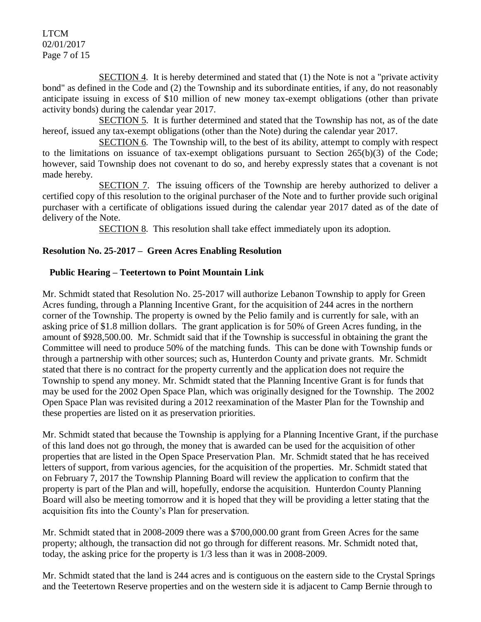LTCM 02/01/2017 Page 7 of 15

SECTION 4. It is hereby determined and stated that (1) the Note is not a "private activity bond" as defined in the Code and (2) the Township and its subordinate entities, if any, do not reasonably anticipate issuing in excess of \$10 million of new money tax-exempt obligations (other than private activity bonds) during the calendar year 2017.

SECTION 5. It is further determined and stated that the Township has not, as of the date hereof, issued any tax-exempt obligations (other than the Note) during the calendar year 2017.

SECTION 6. The Township will, to the best of its ability, attempt to comply with respect to the limitations on issuance of tax-exempt obligations pursuant to Section 265(b)(3) of the Code; however, said Township does not covenant to do so, and hereby expressly states that a covenant is not made hereby.

SECTION 7. The issuing officers of the Township are hereby authorized to deliver a certified copy of this resolution to the original purchaser of the Note and to further provide such original purchaser with a certificate of obligations issued during the calendar year 2017 dated as of the date of delivery of the Note.

SECTION 8. This resolution shall take effect immediately upon its adoption.

## **Resolution No. 25-2017 – Green Acres Enabling Resolution**

# **Public Hearing – Teetertown to Point Mountain Link**

Mr. Schmidt stated that Resolution No. 25-2017 will authorize Lebanon Township to apply for Green Acres funding, through a Planning Incentive Grant, for the acquisition of 244 acres in the northern corner of the Township. The property is owned by the Pelio family and is currently for sale, with an asking price of \$1.8 million dollars. The grant application is for 50% of Green Acres funding, in the amount of \$928,500.00. Mr. Schmidt said that if the Township is successful in obtaining the grant the Committee will need to produce 50% of the matching funds. This can be done with Township funds or through a partnership with other sources; such as, Hunterdon County and private grants. Mr. Schmidt stated that there is no contract for the property currently and the application does not require the Township to spend any money. Mr. Schmidt stated that the Planning Incentive Grant is for funds that may be used for the 2002 Open Space Plan, which was originally designed for the Township. The 2002 Open Space Plan was revisited during a 2012 reexamination of the Master Plan for the Township and these properties are listed on it as preservation priorities.

Mr. Schmidt stated that because the Township is applying for a Planning Incentive Grant, if the purchase of this land does not go through, the money that is awarded can be used for the acquisition of other properties that are listed in the Open Space Preservation Plan. Mr. Schmidt stated that he has received letters of support, from various agencies, for the acquisition of the properties. Mr. Schmidt stated that on February 7, 2017 the Township Planning Board will review the application to confirm that the property is part of the Plan and will, hopefully, endorse the acquisition. Hunterdon County Planning Board will also be meeting tomorrow and it is hoped that they will be providing a letter stating that the acquisition fits into the County's Plan for preservation.

Mr. Schmidt stated that in 2008-2009 there was a \$700,000.00 grant from Green Acres for the same property; although, the transaction did not go through for different reasons. Mr. Schmidt noted that, today, the asking price for the property is 1/3 less than it was in 2008-2009.

Mr. Schmidt stated that the land is 244 acres and is contiguous on the eastern side to the Crystal Springs and the Teetertown Reserve properties and on the western side it is adjacent to Camp Bernie through to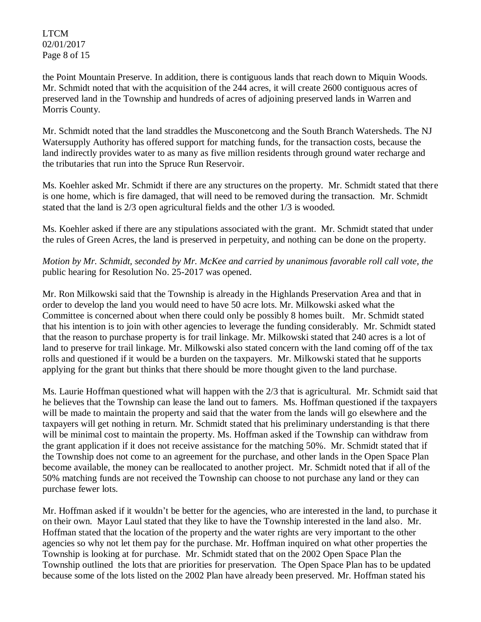LTCM 02/01/2017 Page 8 of 15

the Point Mountain Preserve. In addition, there is contiguous lands that reach down to Miquin Woods. Mr. Schmidt noted that with the acquisition of the 244 acres, it will create 2600 contiguous acres of preserved land in the Township and hundreds of acres of adjoining preserved lands in Warren and Morris County.

Mr. Schmidt noted that the land straddles the Musconetcong and the South Branch Watersheds. The NJ Watersupply Authority has offered support for matching funds, for the transaction costs, because the land indirectly provides water to as many as five million residents through ground water recharge and the tributaries that run into the Spruce Run Reservoir.

Ms. Koehler asked Mr. Schmidt if there are any structures on the property. Mr. Schmidt stated that there is one home, which is fire damaged, that will need to be removed during the transaction. Mr. Schmidt stated that the land is 2/3 open agricultural fields and the other 1/3 is wooded.

Ms. Koehler asked if there are any stipulations associated with the grant. Mr. Schmidt stated that under the rules of Green Acres, the land is preserved in perpetuity, and nothing can be done on the property.

*Motion by Mr. Schmidt, seconded by Mr. McKee and carried by unanimous favorable roll call vote, the* public hearing for Resolution No. 25-2017 was opened.

Mr. Ron Milkowski said that the Township is already in the Highlands Preservation Area and that in order to develop the land you would need to have 50 acre lots. Mr. Milkowski asked what the Committee is concerned about when there could only be possibly 8 homes built. Mr. Schmidt stated that his intention is to join with other agencies to leverage the funding considerably. Mr. Schmidt stated that the reason to purchase property is for trail linkage. Mr. Milkowski stated that 240 acres is a lot of land to preserve for trail linkage. Mr. Milkowski also stated concern with the land coming off of the tax rolls and questioned if it would be a burden on the taxpayers. Mr. Milkowski stated that he supports applying for the grant but thinks that there should be more thought given to the land purchase.

Ms. Laurie Hoffman questioned what will happen with the 2/3 that is agricultural. Mr. Schmidt said that he believes that the Township can lease the land out to famers. Ms. Hoffman questioned if the taxpayers will be made to maintain the property and said that the water from the lands will go elsewhere and the taxpayers will get nothing in return. Mr. Schmidt stated that his preliminary understanding is that there will be minimal cost to maintain the property. Ms. Hoffman asked if the Township can withdraw from the grant application if it does not receive assistance for the matching 50%. Mr. Schmidt stated that if the Township does not come to an agreement for the purchase, and other lands in the Open Space Plan become available, the money can be reallocated to another project. Mr. Schmidt noted that if all of the 50% matching funds are not received the Township can choose to not purchase any land or they can purchase fewer lots.

Mr. Hoffman asked if it wouldn't be better for the agencies, who are interested in the land, to purchase it on their own. Mayor Laul stated that they like to have the Township interested in the land also. Mr. Hoffman stated that the location of the property and the water rights are very important to the other agencies so why not let them pay for the purchase. Mr. Hoffman inquired on what other properties the Township is looking at for purchase. Mr. Schmidt stated that on the 2002 Open Space Plan the Township outlined the lots that are priorities for preservation. The Open Space Plan has to be updated because some of the lots listed on the 2002 Plan have already been preserved. Mr. Hoffman stated his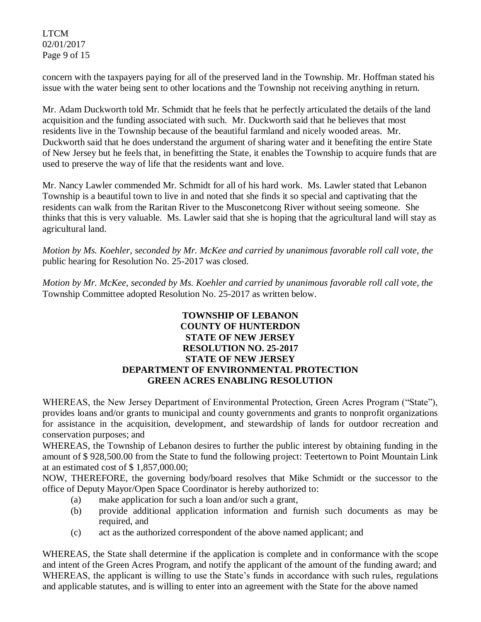LTCM 02/01/2017 Page 9 of 15

concern with the taxpayers paying for all of the preserved land in the Township. Mr. Hoffman stated his issue with the water being sent to other locations and the Township not receiving anything in return.

Mr. Adam Duckworth told Mr. Schmidt that he feels that he perfectly articulated the details of the land acquisition and the funding associated with such. Mr. Duckworth said that he believes that most residents live in the Township because of the beautiful farmland and nicely wooded areas. Mr. Duckworth said that he does understand the argument of sharing water and it benefiting the entire State of New Jersey but he feels that, in benefitting the State, it enables the Township to acquire funds that are used to preserve the way of life that the residents want and love.

Mr. Nancy Lawler commended Mr. Schmidt for all of his hard work. Ms. Lawler stated that Lebanon Township is a beautiful town to live in and noted that she finds it so special and captivating that the residents can walk from the Raritan River to the Musconetcong River without seeing someone. She thinks that this is very valuable. Ms. Lawler said that she is hoping that the agricultural land will stay as agricultural land.

*Motion by Ms. Koehler, seconded by Mr. McKee and carried by unanimous favorable roll call vote, the* public hearing for Resolution No. 25-2017 was closed.

*Motion by Mr. McKee, seconded by Ms. Koehler and carried by unanimous favorable roll call vote, the* Township Committee adopted Resolution No. 25-2017 as written below.

### **TOWNSHIP OF LEBANON COUNTY OF HUNTERDON STATE OF NEW JERSEY RESOLUTION NO. 25-2017 STATE OF NEW JERSEY DEPARTMENT OF ENVIRONMENTAL PROTECTION GREEN ACRES ENABLING RESOLUTION**

WHEREAS, the New Jersey Department of Environmental Protection, Green Acres Program ("State"), provides loans and/or grants to municipal and county governments and grants to nonprofit organizations for assistance in the acquisition, development, and stewardship of lands for outdoor recreation and conservation purposes; and

WHEREAS, the Township of Lebanon desires to further the public interest by obtaining funding in the amount of \$ 928,500.00 from the State to fund the following project: Teetertown to Point Mountain Link at an estimated cost of \$ 1,857,000.00;

NOW, THEREFORE, the governing body/board resolves that Mike Schmidt or the successor to the office of Deputy Mayor/Open Space Coordinator is hereby authorized to:

- (a) make application for such a loan and/or such a grant,
- (b) provide additional application information and furnish such documents as may be required, and
- (c) act as the authorized correspondent of the above named applicant; and

WHEREAS, the State shall determine if the application is complete and in conformance with the scope and intent of the Green Acres Program, and notify the applicant of the amount of the funding award; and WHEREAS, the applicant is willing to use the State's funds in accordance with such rules, regulations and applicable statutes, and is willing to enter into an agreement with the State for the above named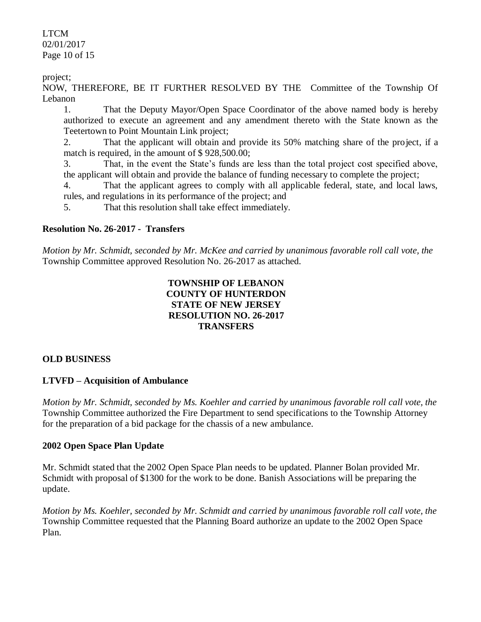LTCM 02/01/2017 Page 10 of 15

project;

NOW, THEREFORE, BE IT FURTHER RESOLVED BY THE Committee of the Township Of Lebanon

1. That the Deputy Mayor/Open Space Coordinator of the above named body is hereby authorized to execute an agreement and any amendment thereto with the State known as the Teetertown to Point Mountain Link project;

2. That the applicant will obtain and provide its 50% matching share of the project, if a match is required, in the amount of \$ 928,500.00;

3. That, in the event the State's funds are less than the total project cost specified above, the applicant will obtain and provide the balance of funding necessary to complete the project;

4. That the applicant agrees to comply with all applicable federal, state, and local laws, rules, and regulations in its performance of the project; and

5. That this resolution shall take effect immediately.

### **Resolution No. 26-2017 - Transfers**

*Motion by Mr. Schmidt, seconded by Mr. McKee and carried by unanimous favorable roll call vote, the* Township Committee approved Resolution No. 26-2017 as attached.

# **TOWNSHIP OF LEBANON COUNTY OF HUNTERDON STATE OF NEW JERSEY RESOLUTION NO. 26-2017 TRANSFERS**

#### **OLD BUSINESS**

## **LTVFD – Acquisition of Ambulance**

*Motion by Mr. Schmidt, seconded by Ms. Koehler and carried by unanimous favorable roll call vote, the* Township Committee authorized the Fire Department to send specifications to the Township Attorney for the preparation of a bid package for the chassis of a new ambulance.

#### **2002 Open Space Plan Update**

Mr. Schmidt stated that the 2002 Open Space Plan needs to be updated. Planner Bolan provided Mr. Schmidt with proposal of \$1300 for the work to be done. Banish Associations will be preparing the update.

*Motion by Ms. Koehler, seconded by Mr. Schmidt and carried by unanimous favorable roll call vote, the* Township Committee requested that the Planning Board authorize an update to the 2002 Open Space Plan.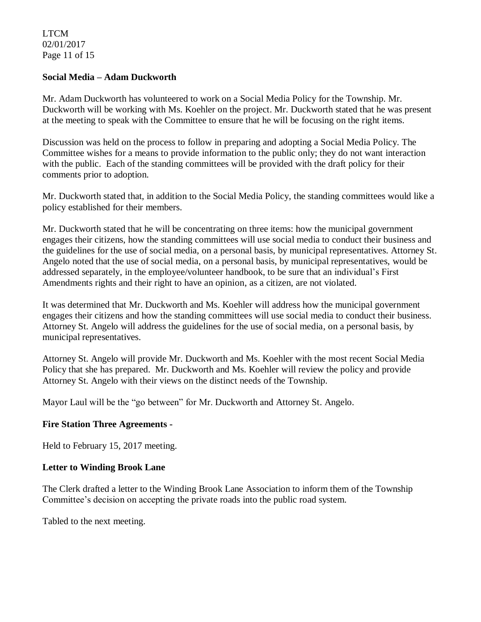LTCM 02/01/2017 Page 11 of 15

#### **Social Media – Adam Duckworth**

Mr. Adam Duckworth has volunteered to work on a Social Media Policy for the Township. Mr. Duckworth will be working with Ms. Koehler on the project. Mr. Duckworth stated that he was present at the meeting to speak with the Committee to ensure that he will be focusing on the right items.

Discussion was held on the process to follow in preparing and adopting a Social Media Policy. The Committee wishes for a means to provide information to the public only; they do not want interaction with the public. Each of the standing committees will be provided with the draft policy for their comments prior to adoption.

Mr. Duckworth stated that, in addition to the Social Media Policy, the standing committees would like a policy established for their members.

Mr. Duckworth stated that he will be concentrating on three items: how the municipal government engages their citizens, how the standing committees will use social media to conduct their business and the guidelines for the use of social media, on a personal basis, by municipal representatives. Attorney St. Angelo noted that the use of social media, on a personal basis, by municipal representatives, would be addressed separately, in the employee/volunteer handbook, to be sure that an individual's First Amendments rights and their right to have an opinion, as a citizen, are not violated.

It was determined that Mr. Duckworth and Ms. Koehler will address how the municipal government engages their citizens and how the standing committees will use social media to conduct their business. Attorney St. Angelo will address the guidelines for the use of social media, on a personal basis, by municipal representatives.

Attorney St. Angelo will provide Mr. Duckworth and Ms. Koehler with the most recent Social Media Policy that she has prepared. Mr. Duckworth and Ms. Koehler will review the policy and provide Attorney St. Angelo with their views on the distinct needs of the Township.

Mayor Laul will be the "go between" for Mr. Duckworth and Attorney St. Angelo.

#### **Fire Station Three Agreements -**

Held to February 15, 2017 meeting.

#### **Letter to Winding Brook Lane**

The Clerk drafted a letter to the Winding Brook Lane Association to inform them of the Township Committee's decision on accepting the private roads into the public road system.

Tabled to the next meeting.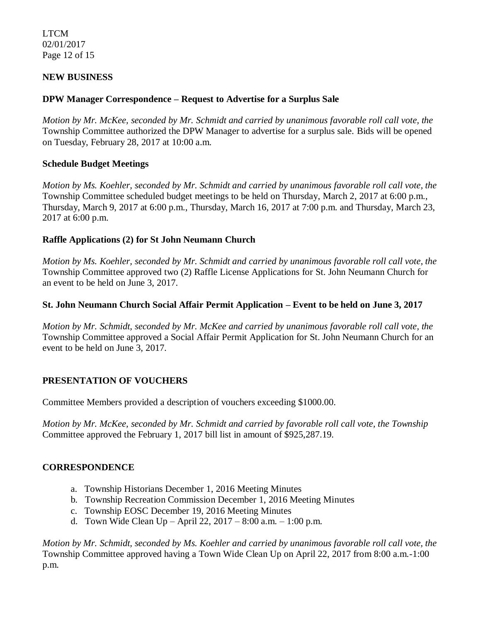LTCM 02/01/2017 Page 12 of 15

## **NEW BUSINESS**

#### **DPW Manager Correspondence – Request to Advertise for a Surplus Sale**

*Motion by Mr. McKee, seconded by Mr. Schmidt and carried by unanimous favorable roll call vote, the* Township Committee authorized the DPW Manager to advertise for a surplus sale. Bids will be opened on Tuesday, February 28, 2017 at 10:00 a.m.

#### **Schedule Budget Meetings**

*Motion by Ms. Koehler, seconded by Mr. Schmidt and carried by unanimous favorable roll call vote, the* Township Committee scheduled budget meetings to be held on Thursday, March 2, 2017 at 6:00 p.m., Thursday, March 9, 2017 at 6:00 p.m., Thursday, March 16, 2017 at 7:00 p.m. and Thursday, March 23, 2017 at 6:00 p.m.

## **Raffle Applications (2) for St John Neumann Church**

*Motion by Ms. Koehler, seconded by Mr. Schmidt and carried by unanimous favorable roll call vote, the* Township Committee approved two (2) Raffle License Applications for St. John Neumann Church for an event to be held on June 3, 2017.

### **St. John Neumann Church Social Affair Permit Application – Event to be held on June 3, 2017**

*Motion by Mr. Schmidt, seconded by Mr. McKee and carried by unanimous favorable roll call vote, the* Township Committee approved a Social Affair Permit Application for St. John Neumann Church for an event to be held on June 3, 2017.

#### **PRESENTATION OF VOUCHERS**

Committee Members provided a description of vouchers exceeding \$1000.00.

*Motion by Mr. McKee, seconded by Mr. Schmidt and carried by favorable roll call vote, the Township*  Committee approved the February 1, 2017 bill list in amount of \$925,287.19.

## **CORRESPONDENCE**

- a. Township Historians December 1, 2016 Meeting Minutes
- b. Township Recreation Commission December 1, 2016 Meeting Minutes
- c. Township EOSC December 19, 2016 Meeting Minutes
- d. Town Wide Clean Up April 22, 2017 8:00 a.m. 1:00 p.m.

*Motion by Mr. Schmidt, seconded by Ms. Koehler and carried by unanimous favorable roll call vote, the* Township Committee approved having a Town Wide Clean Up on April 22, 2017 from 8:00 a.m.-1:00 p.m.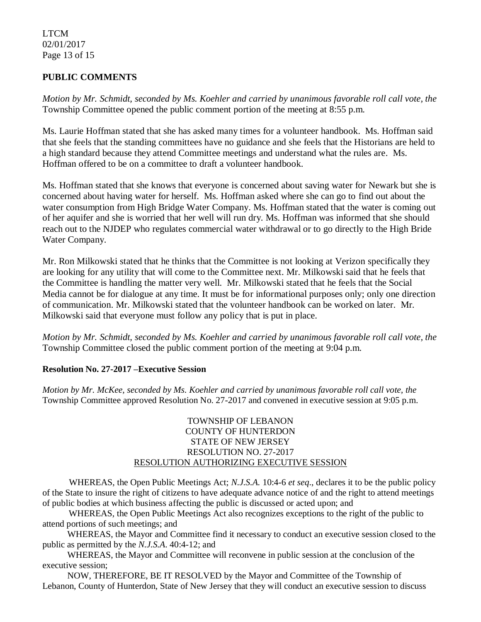### LTCM 02/01/2017 Page 13 of 15

# **PUBLIC COMMENTS**

*Motion by Mr. Schmidt, seconded by Ms. Koehler and carried by unanimous favorable roll call vote, the* Township Committee opened the public comment portion of the meeting at 8:55 p.m.

Ms. Laurie Hoffman stated that she has asked many times for a volunteer handbook. Ms. Hoffman said that she feels that the standing committees have no guidance and she feels that the Historians are held to a high standard because they attend Committee meetings and understand what the rules are. Ms. Hoffman offered to be on a committee to draft a volunteer handbook.

Ms. Hoffman stated that she knows that everyone is concerned about saving water for Newark but she is concerned about having water for herself. Ms. Hoffman asked where she can go to find out about the water consumption from High Bridge Water Company. Ms. Hoffman stated that the water is coming out of her aquifer and she is worried that her well will run dry. Ms. Hoffman was informed that she should reach out to the NJDEP who regulates commercial water withdrawal or to go directly to the High Bride Water Company.

Mr. Ron Milkowski stated that he thinks that the Committee is not looking at Verizon specifically they are looking for any utility that will come to the Committee next. Mr. Milkowski said that he feels that the Committee is handling the matter very well. Mr. Milkowski stated that he feels that the Social Media cannot be for dialogue at any time. It must be for informational purposes only; only one direction of communication. Mr. Milkowski stated that the volunteer handbook can be worked on later. Mr. Milkowski said that everyone must follow any policy that is put in place.

*Motion by Mr. Schmidt, seconded by Ms. Koehler and carried by unanimous favorable roll call vote, the* Township Committee closed the public comment portion of the meeting at 9:04 p.m.

#### **Resolution No. 27-2017 –Executive Session**

*Motion by Mr. McKee, seconded by Ms. Koehler and carried by unanimous favorable roll call vote, the* Township Committee approved Resolution No. 27-2017 and convened in executive session at 9:05 p.m.

#### TOWNSHIP OF LEBANON COUNTY OF HUNTERDON STATE OF NEW JERSEY RESOLUTION NO. 27-2017 RESOLUTION AUTHORIZING EXECUTIVE SESSION

WHEREAS, the Open Public Meetings Act; *N.J.S.A.* 10:4-6 *et seq*., declares it to be the public policy of the State to insure the right of citizens to have adequate advance notice of and the right to attend meetings of public bodies at which business affecting the public is discussed or acted upon; and

WHEREAS, the Open Public Meetings Act also recognizes exceptions to the right of the public to attend portions of such meetings; and

 WHEREAS, the Mayor and Committee find it necessary to conduct an executive session closed to the public as permitted by the *N.J.S.A*. 40:4-12; and

 WHEREAS, the Mayor and Committee will reconvene in public session at the conclusion of the executive session;

 NOW, THEREFORE, BE IT RESOLVED by the Mayor and Committee of the Township of Lebanon, County of Hunterdon, State of New Jersey that they will conduct an executive session to discuss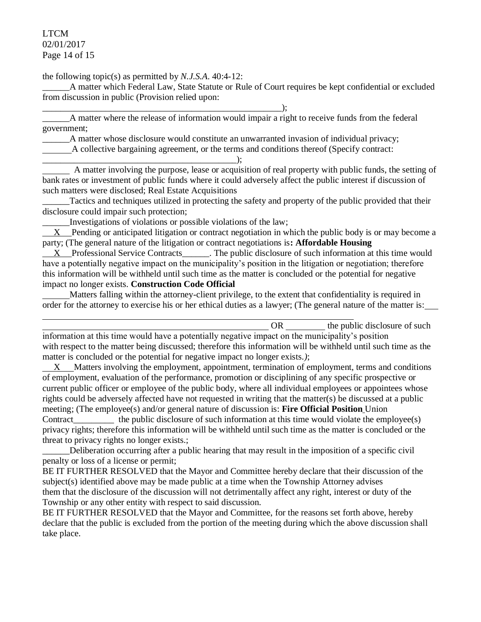LTCM 02/01/2017 Page 14 of 15

the following topic(s) as permitted by *N.J.S.A*. 40:4-12:

\_\_\_\_\_\_\_\_\_\_\_\_\_\_\_\_\_\_\_\_\_\_\_\_\_\_\_\_\_\_\_\_\_\_\_\_\_\_\_\_\_\_\_\_\_\_\_\_\_\_\_\_\_);

\_\_\_\_\_\_A matter which Federal Law, State Statute or Rule of Court requires be kept confidential or excluded from discussion in public (Provision relied upon:

A matter where the release of information would impair a right to receive funds from the federal government;

\_\_\_\_\_\_A matter whose disclosure would constitute an unwarranted invasion of individual privacy;

A collective bargaining agreement, or the terms and conditions thereof (Specify contract:

\_\_\_\_\_\_\_\_\_\_\_\_\_\_\_\_\_\_\_\_\_\_\_\_\_\_\_\_\_\_\_\_\_\_\_\_\_\_\_\_\_\_\_); A matter involving the purpose, lease or acquisition of real property with public funds, the setting of bank rates or investment of public funds where it could adversely affect the public interest if discussion of such matters were disclosed; Real Estate Acquisitions

Tactics and techniques utilized in protecting the safety and property of the public provided that their disclosure could impair such protection;

Investigations of violations or possible violations of the law;

 $X$  Pending or anticipated litigation or contract negotiation in which the public body is or may become a party; (The general nature of the litigation or contract negotiations is**: Affordable Housing**

 $X$  Professional Service Contracts\_\_\_\_\_\_. The public disclosure of such information at this time would have a potentially negative impact on the municipality's position in the litigation or negotiation; therefore this information will be withheld until such time as the matter is concluded or the potential for negative impact no longer exists. **Construction Code Official**

 Matters falling within the attorney-client privilege, to the extent that confidentiality is required in order for the attorney to exercise his or her ethical duties as a lawyer; (The general nature of the matter is:

OR the public disclosure of such information at this time would have a potentially negative impact on the municipality's position with respect to the matter being discussed; therefore this information will be withheld until such time as the matter is concluded or the potential for negative impact no longer exists.*)*; X Matters involving the employment, appointment, termination of employment, terms and conditions of employment, evaluation of the performance, promotion or disciplining of any specific prospective or current public officer or employee of the public body, where all individual employees or appointees whose rights could be adversely affected have not requested in writing that the matter(s) be discussed at a public meeting; (The employee(s) and/or general nature of discussion is: **Fire Official Position** Union Contract the public disclosure of such information at this time would violate the employee(s)

privacy rights; therefore this information will be withheld until such time as the matter is concluded or the threat to privacy rights no longer exists.;

\_\_\_\_\_\_Deliberation occurring after a public hearing that may result in the imposition of a specific civil penalty or loss of a license or permit;

BE IT FURTHER RESOLVED that the Mayor and Committee hereby declare that their discussion of the subject(s) identified above may be made public at a time when the Township Attorney advises them that the disclosure of the discussion will not detrimentally affect any right, interest or duty of the Township or any other entity with respect to said discussion.

BE IT FURTHER RESOLVED that the Mayor and Committee, for the reasons set forth above, hereby declare that the public is excluded from the portion of the meeting during which the above discussion shall take place.